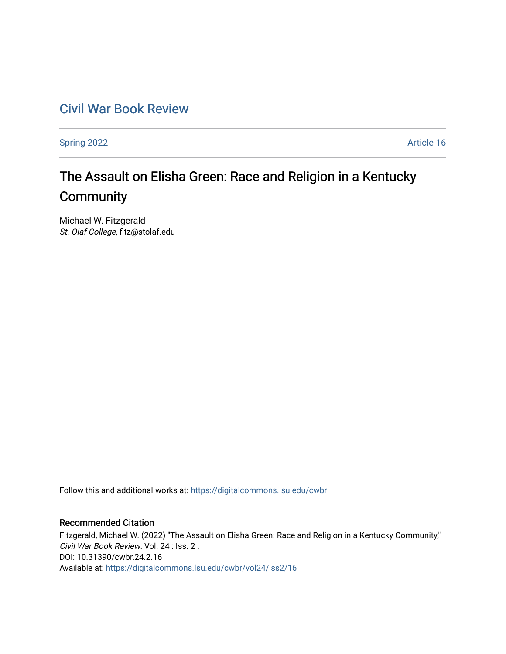## [Civil War Book Review](https://digitalcommons.lsu.edu/cwbr)

[Spring 2022](https://digitalcommons.lsu.edu/cwbr/vol24/iss2) **Article 16** 

# The Assault on Elisha Green: Race and Religion in a Kentucky **Community**

Michael W. Fitzgerald St. Olaf College, fitz@stolaf.edu

Follow this and additional works at: [https://digitalcommons.lsu.edu/cwbr](https://digitalcommons.lsu.edu/cwbr?utm_source=digitalcommons.lsu.edu%2Fcwbr%2Fvol24%2Fiss2%2F16&utm_medium=PDF&utm_campaign=PDFCoverPages) 

#### Recommended Citation

Fitzgerald, Michael W. (2022) "The Assault on Elisha Green: Race and Religion in a Kentucky Community," Civil War Book Review: Vol. 24 : Iss. 2 . DOI: 10.31390/cwbr.24.2.16 Available at: [https://digitalcommons.lsu.edu/cwbr/vol24/iss2/16](https://digitalcommons.lsu.edu/cwbr/vol24/iss2/16?utm_source=digitalcommons.lsu.edu%2Fcwbr%2Fvol24%2Fiss2%2F16&utm_medium=PDF&utm_campaign=PDFCoverPages)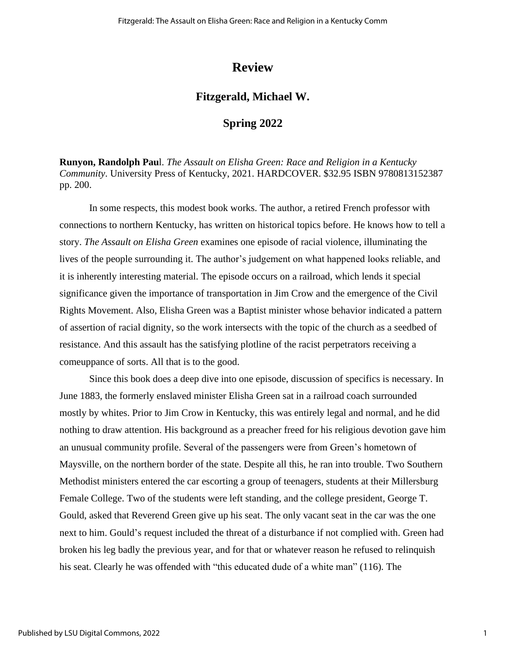## **Review**

### **Fitzgerald, Michael W.**

#### **Spring 2022**

**Runyon, Randolph Pau**l. *The Assault on Elisha Green: Race and Religion in a Kentucky Community*. University Press of Kentucky, 2021. HARDCOVER. \$32.95 ISBN 9780813152387 pp. 200.

In some respects, this modest book works. The author, a retired French professor with connections to northern Kentucky, has written on historical topics before. He knows how to tell a story. *The Assault on Elisha Green* examines one episode of racial violence, illuminating the lives of the people surrounding it. The author's judgement on what happened looks reliable, and it is inherently interesting material. The episode occurs on a railroad, which lends it special significance given the importance of transportation in Jim Crow and the emergence of the Civil Rights Movement. Also, Elisha Green was a Baptist minister whose behavior indicated a pattern of assertion of racial dignity, so the work intersects with the topic of the church as a seedbed of resistance. And this assault has the satisfying plotline of the racist perpetrators receiving a comeuppance of sorts. All that is to the good.

Since this book does a deep dive into one episode, discussion of specifics is necessary. In June 1883, the formerly enslaved minister Elisha Green sat in a railroad coach surrounded mostly by whites. Prior to Jim Crow in Kentucky, this was entirely legal and normal, and he did nothing to draw attention. His background as a preacher freed for his religious devotion gave him an unusual community profile. Several of the passengers were from Green's hometown of Maysville, on the northern border of the state. Despite all this, he ran into trouble. Two Southern Methodist ministers entered the car escorting a group of teenagers, students at their Millersburg Female College. Two of the students were left standing, and the college president, George T. Gould, asked that Reverend Green give up his seat. The only vacant seat in the car was the one next to him. Gould's request included the threat of a disturbance if not complied with. Green had broken his leg badly the previous year, and for that or whatever reason he refused to relinquish his seat. Clearly he was offended with "this educated dude of a white man" (116). The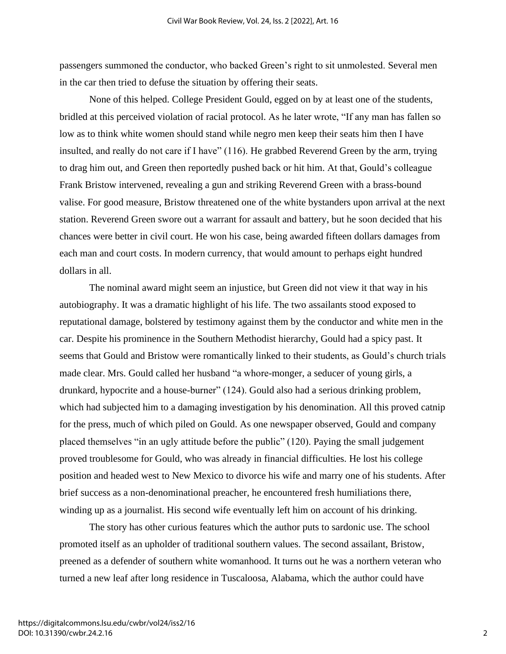passengers summoned the conductor, who backed Green's right to sit unmolested. Several men in the car then tried to defuse the situation by offering their seats.

None of this helped. College President Gould, egged on by at least one of the students, bridled at this perceived violation of racial protocol. As he later wrote, "If any man has fallen so low as to think white women should stand while negro men keep their seats him then I have insulted, and really do not care if I have" (116). He grabbed Reverend Green by the arm, trying to drag him out, and Green then reportedly pushed back or hit him. At that, Gould's colleague Frank Bristow intervened, revealing a gun and striking Reverend Green with a brass-bound valise. For good measure, Bristow threatened one of the white bystanders upon arrival at the next station. Reverend Green swore out a warrant for assault and battery, but he soon decided that his chances were better in civil court. He won his case, being awarded fifteen dollars damages from each man and court costs. In modern currency, that would amount to perhaps eight hundred dollars in all.

The nominal award might seem an injustice, but Green did not view it that way in his autobiography. It was a dramatic highlight of his life. The two assailants stood exposed to reputational damage, bolstered by testimony against them by the conductor and white men in the car. Despite his prominence in the Southern Methodist hierarchy, Gould had a spicy past. It seems that Gould and Bristow were romantically linked to their students, as Gould's church trials made clear. Mrs. Gould called her husband "a whore-monger, a seducer of young girls, a drunkard, hypocrite and a house-burner" (124). Gould also had a serious drinking problem, which had subjected him to a damaging investigation by his denomination. All this proved catnip for the press, much of which piled on Gould. As one newspaper observed, Gould and company placed themselves "in an ugly attitude before the public" (120). Paying the small judgement proved troublesome for Gould, who was already in financial difficulties. He lost his college position and headed west to New Mexico to divorce his wife and marry one of his students. After brief success as a non-denominational preacher, he encountered fresh humiliations there, winding up as a journalist. His second wife eventually left him on account of his drinking.

The story has other curious features which the author puts to sardonic use. The school promoted itself as an upholder of traditional southern values. The second assailant, Bristow, preened as a defender of southern white womanhood. It turns out he was a northern veteran who turned a new leaf after long residence in Tuscaloosa, Alabama, which the author could have